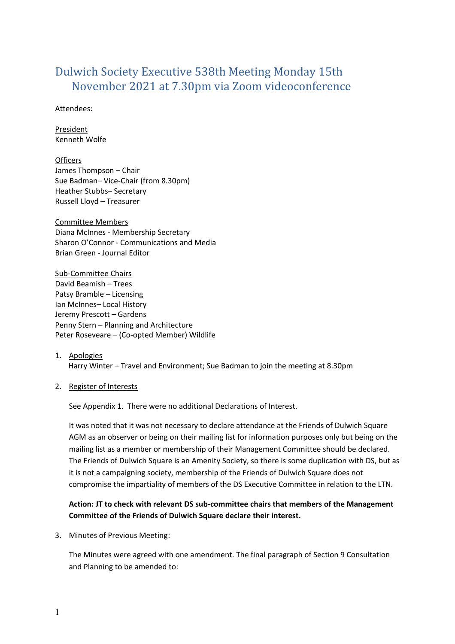# Dulwich Society Executive 538th Meeting Monday 15th November 2021 at 7.30pm via Zoom videoconference

Attendees:

President Kenneth Wolfe

**Officers** James Thompson – Chair Sue Badman– Vice-Chair (from 8.30pm) Heather Stubbs– Secretary Russell Lloyd – Treasurer

Committee Members Diana McInnes - Membership Secretary Sharon O'Connor - Communications and Media Brian Green - Journal Editor

Sub-Committee Chairs David Beamish – Trees Patsy Bramble – Licensing Ian McInnes– Local History Jeremy Prescott – Gardens Penny Stern – Planning and Architecture Peter Roseveare – (Co-opted Member) Wildlife

# 1. Apologies

Harry Winter – Travel and Environment; Sue Badman to join the meeting at 8.30pm

#### 2. Register of Interests

See Appendix 1. There were no additional Declarations of Interest.

It was noted that it was not necessary to declare attendance at the Friends of Dulwich Square AGM as an observer or being on their mailing list for information purposes only but being on the mailing list as a member or membership of their Management Committee should be declared. The Friends of Dulwich Square is an Amenity Society, so there is some duplication with DS, but as it is not a campaigning society, membership of the Friends of Dulwich Square does not compromise the impartiality of members of the DS Executive Committee in relation to the LTN.

# **Action: JT to check with relevant DS sub-committee chairs that members of the Management Committee of the Friends of Dulwich Square declare their interest.**

#### 3. Minutes of Previous Meeting:

The Minutes were agreed with one amendment. The final paragraph of Section 9 Consultation and Planning to be amended to: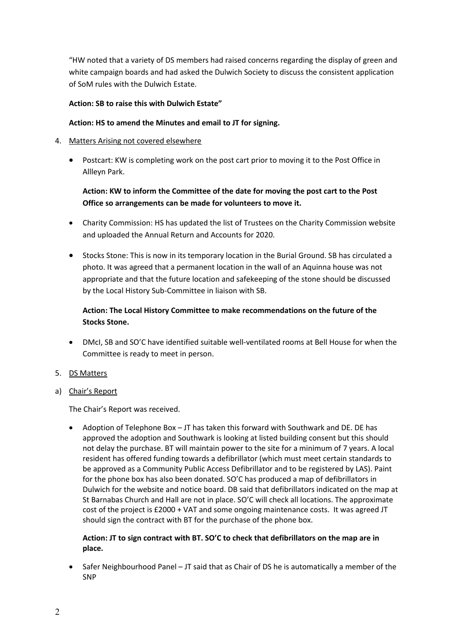"HW noted that a variety of DS members had raised concerns regarding the display of green and white campaign boards and had asked the Dulwich Society to discuss the consistent application of SoM rules with the Dulwich Estate.

### **Action: SB to raise this with Dulwich Estate"**

### **Action: HS to amend the Minutes and email to JT for signing.**

### 4. Matters Arising not covered elsewhere

 Postcart: KW is completing work on the post cart prior to moving it to the Post Office in Allleyn Park.

# **Action: KW to inform the Committee of the date for moving the post cart to the Post Office so arrangements can be made for volunteers to move it.**

- Charity Commission: HS has updated the list of Trustees on the Charity Commission website and uploaded the Annual Return and Accounts for 2020.
- Stocks Stone: This is now in its temporary location in the Burial Ground. SB has circulated a photo. It was agreed that a permanent location in the wall of an Aquinna house was not appropriate and that the future location and safekeeping of the stone should be discussed by the Local History Sub-Committee in liaison with SB.

# **Action: The Local History Committee to make recommendations on the future of the Stocks Stone.**

 DMcI, SB and SO'C have identified suitable well-ventilated rooms at Bell House for when the Committee is ready to meet in person.

#### 5. DS Matters

a) Chair's Report

The Chair's Report was received.

 Adoption of Telephone Box – JT has taken this forward with Southwark and DE. DE has approved the adoption and Southwark is looking at listed building consent but this should not delay the purchase. BT will maintain power to the site for a minimum of 7 years. A local resident has offered funding towards a defibrillator (which must meet certain standards to be approved as a Community Public Access Defibrillator and to be registered by LAS). Paint for the phone box has also been donated. SO'C has produced a map of defibrillators in Dulwich for the website and notice board. DB said that defibrillators indicated on the map at St Barnabas Church and Hall are not in place. SO'C will check all locations. The approximate cost of the project is £2000 + VAT and some ongoing maintenance costs. It was agreed JT should sign the contract with BT for the purchase of the phone box.

### **Action: JT to sign contract with BT. SO'C to check that defibrillators on the map are in place.**

 Safer Neighbourhood Panel – JT said that as Chair of DS he is automatically a member of the SNP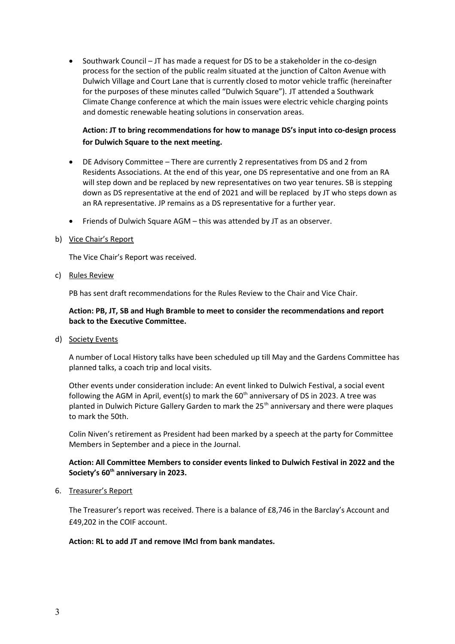$\bullet$  Southwark Council – JT has made a request for DS to be a stakeholder in the co-design process for the section of the public realm situated at the junction of Calton Avenue with Dulwich Village and Court Lane that is currently closed to motor vehicle traffic (hereinafter for the purposes of these minutes called "Dulwich Square"). JT attended a Southwark Climate Change conference at which the main issues were electric vehicle charging points and domestic renewable heating solutions in conservation areas.

# **Action: JT to bring recommendations for how to manage DS's input into co-design process for Dulwich Square to the next meeting.**

- DE Advisory Committee There are currently 2 representatives from DS and 2 from Residents Associations. At the end of this year, one DS representative and one from an RA will step down and be replaced by new representatives on two year tenures. SB is stepping down as DS representative at the end of 2021 and will be replaced by JT who steps down as an RA representative. JP remains as a DS representative for a further year.
- Friends of Dulwich Square AGM this was attended by JT as an observer.
- b) Vice Chair's Report

The Vice Chair's Report was received.

c) Rules Review

PB has sent draft recommendations for the Rules Review to the Chair and Vice Chair.

### **Action: PB, JT, SB and Hugh Bramble to meet to consider the recommendations and report back to the Executive Committee.**

d) Society Events

A number of Local History talks have been scheduled up till May and the Gardens Committee has planned talks, a coach trip and local visits.

Other events under consideration include: An event linked to Dulwich Festival, a social event following the AGM in April, event(s) to mark the  $60<sup>th</sup>$  anniversary of DS in 2023. A tree was planted in Dulwich Picture Gallery Garden to mark the  $25<sup>th</sup>$  anniversary and there were plaques to mark the 50th.

Colin Niven's retirement as President had been marked by a speech at the party for Committee Members in September and a piece in the Journal.

### **Action: All Committee Members to consider events linked to Dulwich Festival in 2022 and the Society's 60th anniversary in 2023.**

#### 6. Treasurer's Report

The Treasurer's report was received. There is a balance of £8,746 in the Barclay's Account and £49,202 in the COIF account.

#### **Action: RL to add JT and remove IMcI from bank mandates.**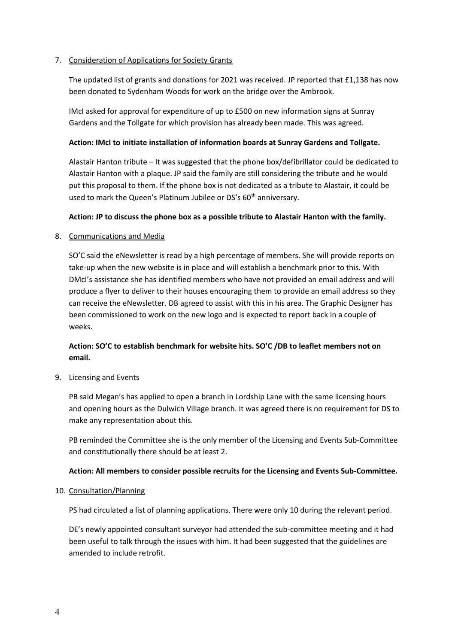### 7. Consideration of Applications for Society Grants

The updated list of grants and donations for 2021 was received. JP reported that £1,138 has now been donated to Sydenham Woods for work on the bridge over the Ambrook.

IMcI asked for approval for expenditure of up to £500 on new information signs at Sunray Gardens and the Tollgate for which provision has already been made. This was agreed.

### **Action: IMcI to initiate installation of information boards at Sunray Gardens and Tollgate.**

Alastair Hanton tribute – It was suggested that the phone box/defibrillator could be dedicated to Alastair Hanton with a plaque. JP said the family are still considering the tribute and he would put this proposal to them. If the phone box is not dedicated as a tribute to Alastair, it could be used to mark the Queen's Platinum Jubilee or DS's 60<sup>th</sup> anniversary.

### **Action: JP to discuss the phone box as a possible tribute to Alastair Hanton with the family.**

### 8. Communications and Media

SO'C said the eNewsletter is read by a high percentage of members. She will provide reports on take-up when the new website is in place and will establish a benchmark prior to this. With DMcI's assistance she has identified members who have not provided an email address and will produce a flyer to deliver to their houses encouraging them to provide an email address so they can receive the eNewsletter. DB agreed to assist with this in his area. The Graphic Designer has been commissioned to work on the new logo and is expected to report back in a couple of weeks.

# **Action: SO'C to establish benchmark for website hits. SO'C /DB to leaflet members not on email.**

#### 9. Licensing and Events

PB said Megan's has applied to open a branch in Lordship Lane with the same licensing hours and opening hours as the Dulwich Village branch. It was agreed there is no requirement for DS to make any representation about this.

PB reminded the Committee she is the only member of the Licensing and Events Sub-Committee and constitutionally there should be at least 2.

#### **Action: All members to consider possible recruits for the Licensing and Events Sub-Committee.**

#### 10. Consultation/Planning

PS had circulated a list of planning applications. There were only 10 during the relevant period.

DE's newly appointed consultant surveyor had attended the sub-committee meeting and it had been useful to talk through the issues with him. It had been suggested that the guidelines are amended to include retrofit.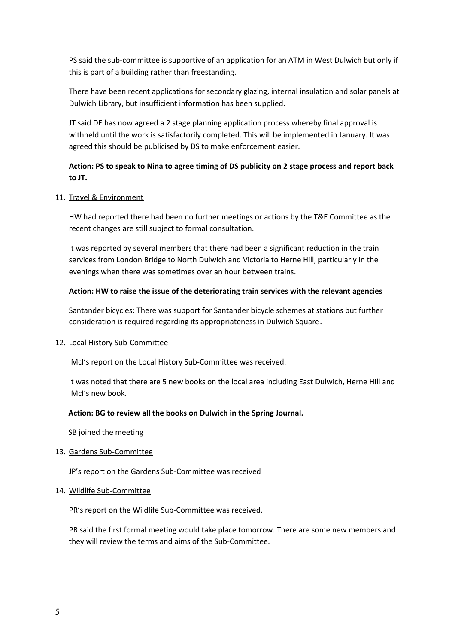PS said the sub-committee is supportive of an application for an ATM in West Dulwich but only if this is part of a building rather than freestanding.

There have been recent applications for secondary glazing, internal insulation and solar panels at Dulwich Library, but insufficient information has been supplied.

JT said DE has now agreed a 2 stage planning application process whereby final approval is withheld until the work is satisfactorily completed. This will be implemented in January. It was agreed this should be publicised by DS to make enforcement easier.

# **Action: PS to speak to Nina to agree timing of DS publicity on 2 stage process and report back to JT.**

#### 11. Travel & Environment

HW had reported there had been no further meetings or actions by the T&E Committee as the recent changes are still subject to formal consultation.

It was reported by several members that there had been a significant reduction in the train services from London Bridge to North Dulwich and Victoria to Herne Hill, particularly in the evenings when there was sometimes over an hour between trains.

#### **Action: HW to raise the issue of the deteriorating train services with the relevant agencies**

Santander bicycles: There was support for Santander bicycle schemes at stations but further consideration is required regarding its appropriateness in Dulwich Square.

#### 12. Local History Sub-Committee

IMcI's report on the Local History Sub-Committee was received.

It was noted that there are 5 new books on the local area including East Dulwich, Herne Hill and IMcI's new book.

#### **Action: BG to review all the books on Dulwich in the Spring Journal.**

SB joined the meeting

#### 13. Gardens Sub-Committee

JP's report on the Gardens Sub-Committee was received

#### 14. Wildlife Sub-Committee

PR's report on the Wildlife Sub-Committee was received.

PR said the first formal meeting would take place tomorrow. There are some new members and they will review the terms and aims of the Sub-Committee.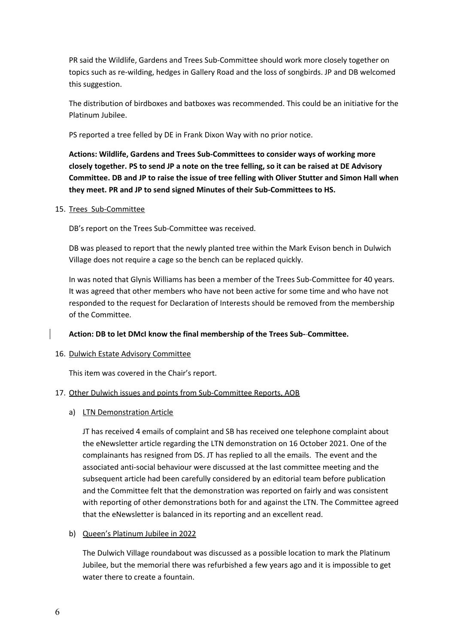PR said the Wildlife, Gardens and Trees Sub-Committee should work more closely together on topics such as re-wilding, hedges in Gallery Road and the loss of songbirds. JP and DB welcomed this suggestion.

The distribution of birdboxes and batboxes was recommended. This could be an initiative for the Platinum Jubilee.

PS reported a tree felled by DE in Frank Dixon Way with no prior notice.

**Actions: Wildlife, Gardens and Trees Sub-Committees to consider ways of working more closely together. PS to send JP a note on the tree felling, so it can be raised at DE Advisory Committee. DB and JP to raise the issue of tree felling with Oliver Stutter and Simon Hall when they meet. PR and JP to send signed Minutes of their Sub-Committees to HS.**

#### 15. Trees Sub-Committee

DB's report on the Trees Sub-Committee was received.

DB was pleased to report that the newly planted tree within the Mark Evison bench in Dulwich Village does not require a cage so the bench can be replaced quickly.

In was noted that Glynis Williams has been a member of the Trees Sub-Committee for 40 years. It was agreed that other members who have not been active for some time and who have not responded to the request for Declaration of Interests should be removed from the membership of the Committee.

#### **Action: DB to let DMcI know the final membership of the Trees Sub- Committee.**

#### 16. Dulwich Estate Advisory Committee

This item was covered in the Chair's report.

#### 17. Other Dulwich issues and points from Sub-Committee Reports, AOB

#### a) LTN Demonstration Article

JT has received 4 emails of complaint and SB has received one telephone complaint about the eNewsletter article regarding the LTN demonstration on 16 October 2021. One of the complainants has resigned from DS. JT has replied to all the emails. The event and the associated anti-social behaviour were discussed at the last committee meeting and the subsequent article had been carefully considered by an editorial team before publication and the Committee felt that the demonstration was reported on fairly and was consistent with reporting of other demonstrations both for and against the LTN. The Committee agreed that the eNewsletter is balanced in its reporting and an excellent read.

#### b) Queen's Platinum Jubilee in 2022

The Dulwich Village roundabout was discussed as a possible location to mark the Platinum Jubilee, but the memorial there was refurbished a few years ago and it is impossible to get water there to create a fountain.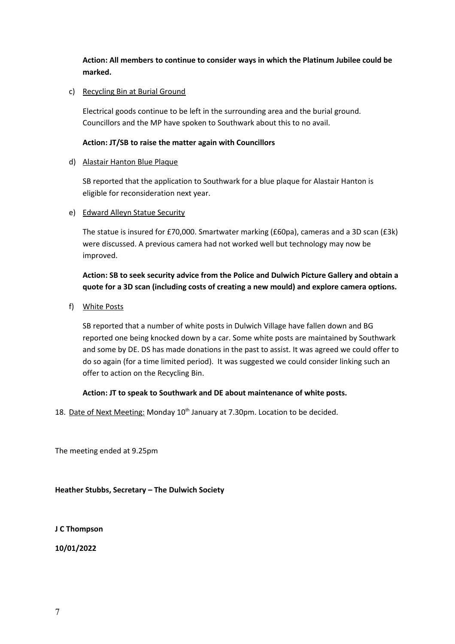**Action: All members to continue to consider ways in which the Platinum Jubilee could be marked.** 

### c) Recycling Bin at Burial Ground

Electrical goods continue to be left in the surrounding area and the burial ground. Councillors and the MP have spoken to Southwark about this to no avail.

### **Action: JT/SB to raise the matter again with Councillors**

#### d) Alastair Hanton Blue Plaque

SB reported that the application to Southwark for a blue plaque for Alastair Hanton is eligible for reconsideration next year.

e) Edward Alleyn Statue Security

The statue is insured for £70,000. Smartwater marking (£60pa), cameras and a 3D scan (£3k) were discussed. A previous camera had not worked well but technology may now be improved.

# **Action: SB to seek security advice from the Police and Dulwich Picture Gallery and obtain a quote for a 3D scan (including costs of creating a new mould) and explore camera options.**

f) White Posts

SB reported that a number of white posts in Dulwich Village have fallen down and BG reported one being knocked down by a car. Some white posts are maintained by Southwark and some by DE. DS has made donations in the past to assist. It was agreed we could offer to do so again (for a time limited period). It was suggested we could consider linking such an offer to action on the Recycling Bin.

# **Action: JT to speak to Southwark and DE about maintenance of white posts.**

18. Date of Next Meeting: Monday 10<sup>th</sup> January at 7.30pm. Location to be decided.

The meeting ended at 9.25pm

**Heather Stubbs, Secretary – The Dulwich Society**

**J C Thompson**

**10/01/2022**